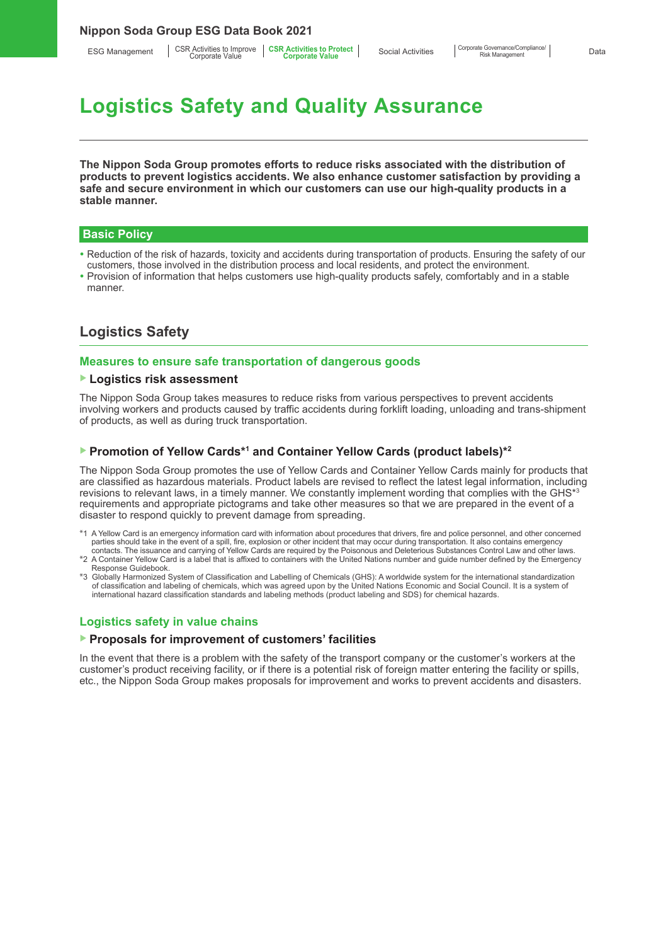ESG Management | CSR Activities to Improve | CSR Activities to Protect<br>Corporate Value **Corporate Corporate Value** 

# **Logistics Safety and Quality Assurance**

**The Nippon Soda Group promotes efforts to reduce risks associated with the distribution of products to prevent logistics accidents. We also enhance customer satisfaction by providing a safe and secure environment in which our customers can use our high-quality products in a stable manner.**

## **Basic Policy**

- Reduction of the risk of hazards, toxicity and accidents during transportation of products. Ensuring the safety of our customers, those involved in the distribution process and local residents, and protect the environment.
- Provision of information that helps customers use high-quality products safely, comfortably and in a stable manner.

# **Logistics Safety**

## **Measures to ensure safe transportation of dangerous goods**

#### ▶ **Logistics risk assessment**

The Nippon Soda Group takes measures to reduce risks from various perspectives to prevent accidents involving workers and products caused by traffic accidents during forklift loading, unloading and trans-shipment of products, as well as during truck transportation.

## ▶ Promotion of Yellow Cards<sup>\*1</sup> and Container Yellow Cards (product labels)<sup>\*2</sup>

The Nippon Soda Group promotes the use of Yellow Cards and Container Yellow Cards mainly for products that are classified as hazardous materials. Product labels are revised to reflect the latest legal information, including revisions to relevant laws, in a timely manner. We constantly implement wording that complies with the GHS\*3 requirements and appropriate pictograms and take other measures so that we are prepared in the event of a disaster to respond quickly to prevent damage from spreading.

- \*1 A Yellow Card is an emergency information card with information about procedures that drivers, fire and police personnel, and other concerned parties should take in the event of a spill, fire, explosion or other incident that may occur during transportation. It also contains emergency contacts. The issuance and carrying of Yellow Cards are required by the Poisonous and Deleterious Substances Control Law and other laws.
- \*2 A Container Yellow Card is a label that is affixed to containers with the United Nations number and guide number defined by the Emergency Response Guidebook.
- \*3 Globally Harmonized System of Classification and Labelling of Chemicals (GHS): A worldwide system for the international standardization of classification and labeling of chemicals, which was agreed upon by the United Nations Economic and Social Council. It is a system of international hazard classification standards and labeling methods (product labeling and SDS) for chemical hazards.

## **Logistics safety in value chains**

#### ▶ **Proposals for improvement of customers' facilities**

In the event that there is a problem with the safety of the transport company or the customer's workers at the customer's product receiving facility, or if there is a potential risk of foreign matter entering the facility or spills, etc., the Nippon Soda Group makes proposals for improvement and works to prevent accidents and disasters.